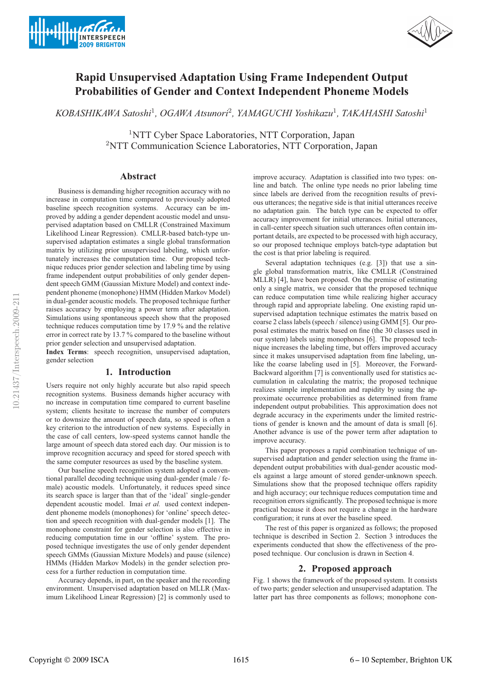



# **Rapid Unsupervised Adaptation Using Frame Independent Output Probabilities of Gender and Context Independent Phoneme Models**

*KOBASHIKAWA Satoshi*<sup>1</sup>*, OGAWA Atsunori*<sup>2</sup>*, YAMAGUCHI Yoshikazu*<sup>1</sup>*, TAKAHASHI Satoshi*<sup>1</sup>

<sup>1</sup>NTT Cyber Space Laboratories, NTT Corporation, Japan <sup>2</sup>NTT Communication Science Laboratories, NTT Corporation, Japan

# **Abstract**

Business is demanding higher recognition accuracy with no increase in computation time compared to previously adopted baseline speech recognition systems. Accuracy can be improved by adding a gender dependent acoustic model and unsupervised adaptation based on CMLLR (Constrained Maximum Likelihood Linear Regression). CMLLR-based batch-type unsupervised adaptation estimates a single global transformation matrix by utilizing prior unsupervised labeling, which unfortunately increases the computation time. Our proposed technique reduces prior gender selection and labeling time by using frame independent output probabilities of only gender dependent speech GMM (Gaussian Mixture Model) and context independent phoneme (monophone) HMM (Hidden Markov Model) in dual-gender acoustic models. The proposed technique further raises accuracy by employing a power term after adaptation. Simulations using spontaneous speech show that the proposed technique reduces computation time by 17.9 % and the relative error in correct rate by 13.7 % compared to the baseline without prior gender selection and unsupervised adaptation.

**Index Terms**: speech recognition, unsupervised adaptation, gender selection

# **1. Introduction**

Users require not only highly accurate but also rapid speech recognition systems. Business demands higher accuracy with no increase in computation time compared to current baseline system; clients hesitate to increase the number of computers or to downsize the amount of speech data, so speed is often a key criterion to the introduction of new systems. Especially in the case of call centers, low-speed systems cannot handle the large amount of speech data stored each day. Our mission is to improve recognition accuracy and speed for stored speech with the same computer resources as used by the baseline system.

Our baseline speech recognition system adopted a conventional parallel decoding technique using dual-gender (male / female) acoustic models. Unfortunately, it reduces speed since its search space is larger than that of the 'ideal' single-gender dependent acoustic model. Imai *et al.* used context independent phoneme models (monophones) for 'online' speech detection and speech recognition with dual-gender models [1]. The monophone constraint for gender selection is also effective in reducing computation time in our 'offline' system. The proposed technique investigates the use of only gender dependent speech GMMs (Gaussian Mixture Models) and pause (silence) HMMs (Hidden Markov Models) in the gender selection process for a further reduction in computation time.

Accuracy depends, in part, on the speaker and the recording environment. Unsupervised adaptation based on MLLR (Maximum Likelihood Linear Regression) [2] is commonly used to

improve accuracy. Adaptation is classified into two types: online and batch. The online type needs no prior labeling time since labels are derived from the recognition results of previous utterances; the negative side is that initial utterances receive no adaptation gain. The batch type can be expected to offer accuracy improvement for initial utterances. Initial utterances, in call-center speech situation such utterances often contain important details, are expected to be processed with high accuracy, so our proposed technique employs batch-type adaptation but the cost is that prior labeling is required.

Several adaptation techniques (e.g. [3]) that use a single global transformation matrix, like CMLLR (Constrained MLLR) [4], have been proposed. On the premise of estimating only a single matrix, we consider that the proposed technique can reduce computation time while realizing higher accuracy through rapid and appropriate labeling. One existing rapid unsupervised adaptation technique estimates the matrix based on coarse 2 class labels (speech / silence) using GMM [5]. Our proposal estimates the matrix based on fine (the 30 classes used in our system) labels using monophones [6]. The proposed technique increases the labeling time, but offers improved accuracy since it makes unsupervised adaptation from fine labeling, unlike the coarse labeling used in [5]. Moreover, the Forward-Backward algorithm [7] is conventionally used for statistics accumulation in calculating the matrix; the proposed technique realizes simple implementation and rapidity by using the approximate occurrence probabilities as determined from frame independent output probabilities. This approximation does not degrade accuracy in the experiments under the limited restrictions of gender is known and the amount of data is small [6]. Another advance is use of the power term after adaptation to improve accuracy.

This paper proposes a rapid combination technique of unsupervised adaptation and gender selection using the frame independent output probabilities with dual-gender acoustic models against a large amount of stored gender-unknown speech. Simulations show that the proposed technique offers rapidity and high accuracy; our technique reduces computation time and recognition errors significantly. The proposed technique is more practical because it does not require a change in the hardware configuration; it runs at over the baseline speed.

The rest of this paper is organized as follows; the proposed technique is described in Section 2. Section 3 introduces the experiments conducted that show the effectiveness of the proposed technique. Our conclusion is drawn in Section 4.

## **2. Proposed approach**

Fig. 1 shows the framework of the proposed system. It consists of two parts; gender selection and unsupervised adaptation. The latter part has three components as follows; monophone con-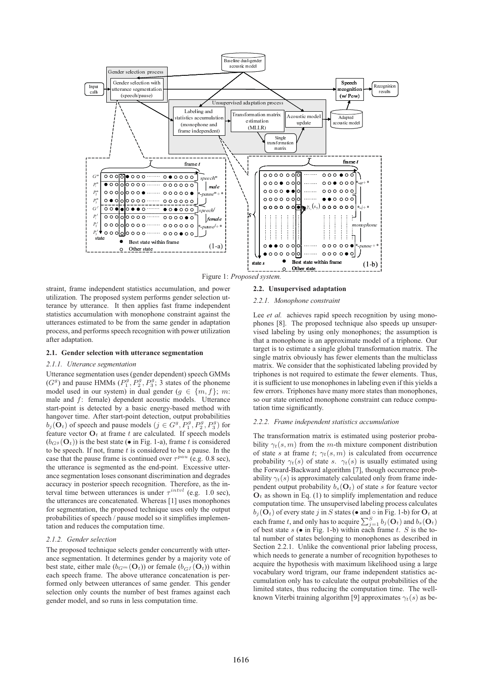

Figure 1: *Proposed system.*

straint, frame independent statistics accumulation, and power utilization. The proposed system performs gender selection utterance by utterance. It then applies fast frame independent statistics accumulation with monophone constraint against the utterances estimated to be from the same gender in adaptation process, and performs speech recognition with power utilization after adaptation.

#### **2.1. Gender selection with utterance segmentation**

# *2.1.1. Utterance segmentation*

Utterance segmentation uses (gender dependent) speech GMMs  $(G<sup>g</sup>)$  and pause HMMs  $(P_1<sup>g</sup>, P_2<sup>g</sup>, P_3<sup>g</sup>; 3$  states of the phoneme model used in our system) in dual gender ( $g \in \{m, f\}$ ; m: male and f: female) dependent acoustic models. Utterance start-point is detected by a basic energy-based method with hangover time. After start-point detection, output probabilities  $b_j(\mathbf{O}_t)$  of speech and pause models  $(j \in G^g, P_1^g, P_2^g, P_3^g)$  for feature vector  $\mathbf{O}_t$  at frame t are calculated. If speech models  $(b_{G^g}(\mathbf{O}_t))$  is the best state (• in Fig. 1-a), frame t is considered to be speech. If not, frame  $t$  is considered to be a pause. In the case that the pause frame is continued over  $\tau^{pau}$  (e.g. 0.8 sec), the utterance is segmented as the end-point. Excessive utterance segmentation loses consonant discrimination and degrades accuracy in posterior speech recognition. Therefore, as the interval time between utterances is under  $\tau^{intvl}$  (e.g. 1.0 sec), the utterances are concatenated. Whereas [1] uses monophones for segmentation, the proposed technique uses only the output probabilities of speech / pause model so it simplifies implementation and reduces the computation time.

### *2.1.2. Gender selection*

The proposed technique selects gender concurrently with utterance segmentation. It determines gender by a majority vote of best state, either male  $(b_{G^m}(\mathbf{O}_t))$  or female  $(b_{G^f}(\mathbf{O}_t))$  within each speech frame. The above utterance concatenation is performed only between utterances of same gender. This gender selection only counts the number of best frames against each gender model, and so runs in less computation time.

#### **2.2. Unsupervised adaptation**

#### *2.2.1. Monophone constraint*

Lee *et al.* achieves rapid speech recognition by using monophones [8]. The proposed technique also speeds up unsupervised labeling by using only monophones; the assumption is that a monophone is an approximate model of a triphone. Our target is to estimate a single global transformation matrix. The single matrix obviously has fewer elements than the multiclass matrix. We consider that the sophisticated labeling provided by triphones is not required to estimate the fewer elements. Thus, it is sufficient to use monophones in labeling even if this yields a few errors. Triphones have many more states than monophones, so our state oriented monophone constraint can reduce computation time significantly.

# *2.2.2. Frame independent statistics accumulation*

The transformation matrix is estimated using posterior probability  $\gamma_t(s, m)$  from the m-th mixture component distribution of state s at frame t;  $\gamma_t(s,m)$  is calculated from occurrence probability  $\gamma_t(s)$  of state s.  $\gamma_t(s)$  is usually estimated using the Forward-Backward algorithm [7], though occurrence probability  $\gamma_t(s)$  is approximately calculated only from frame independent output probability  $b_s(\mathbf{O}_t)$  of state s for feature vector  $O<sub>t</sub>$  as shown in Eq. (1) to simplify implementation and reduce computation time. The unsupervised labeling process calculates  $b_j(\mathbf{O}_t)$  of every state j in S states (• and  $\circ$  in Fig. 1-b) for  $\mathbf{O}_t$  at each frame t, and only has to acquire  $\sum_{j=1}^{S} b_j(\mathbf{O}_t)$  and  $b_s(\mathbf{O}_t)$ of best state  $s$  ( $\bullet$  in Fig. 1-b) within each frame t. S is the total number of states belonging to monophones as described in Section 2.2.1. Unlike the conventional prior labeling process, which needs to generate a number of recognition hypotheses to acquire the hypothesis with maximum likelihood using a large vocabulary word trigram, our frame independent statistics accumulation only has to calculate the output probabilities of the limited states, thus reducing the computation time. The wellknown Viterbi training algorithm [9] approximates  $\gamma_t(s)$  as be-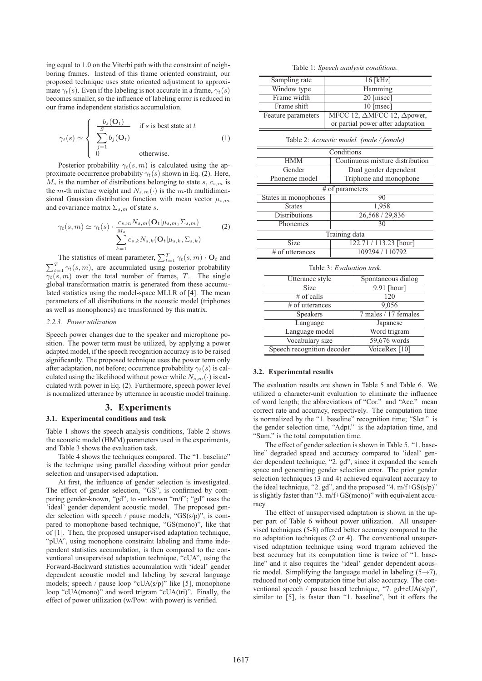ing equal to 1.0 on the Viterbi path with the constraint of neighboring frames. Instead of this frame oriented constraint, our proposed technique uses state oriented adjustment to approximate  $\gamma_t(s)$ . Even if the labeling is not accurate in a frame,  $\gamma_t(s)$ becomes smaller, so the influence of labeling error is reduced in our frame independent statistics accumulation.

$$
\gamma_t(s) \simeq \begin{cases}\n\frac{b_s(\mathbf{O}_t)}{S} & \text{if } s \text{ is best state at } t \\
\sum_{j=1}^S b_j(\mathbf{O}_t) & \text{otherwise.} \n\end{cases}
$$
\n(1)

Posterior probability  $\gamma_t(s, m)$  is calculated using the approximate occurrence probability  $\gamma_t(s)$  shown in Eq. (2). Here,  $M_s$  is the number of distributions belonging to state s,  $c_{s,m}$  is the m-th mixture weight and  $N_{s,m}(\cdot)$  is the m-th multidimensional Gaussian distribution function with mean vector  $\mu_{s,m}$ and covariance matrix  $\Sigma_{s,m}$  of state s.

$$
\gamma_t(s,m) \simeq \gamma_t(s) \cdot \frac{c_{s,m} N_{s,m}(\mathbf{O}_t | \mu_{s,m}, \Sigma_{s,m})}{\sum_{k=1}^{M_s} c_{s,k} N_{s,k}(\mathbf{O}_t | \mu_{s,k}, \Sigma_{s,k})}
$$
(2)

The statistics of mean parameter,  $\sum_{t=1}^{T} \gamma_t(s, m) \cdot \mathbf{O}_t$  and  $\sum_{t=1}^{T} \gamma_t(s,m)$ , are accumulated using posterior probability  $\overline{\gamma_t(s,m)}$  over the total number of frames, T. The single global transformation matrix is generated from these accumulated statistics using the model-space MLLR of [4]. The mean parameters of all distributions in the acoustic model (triphones as well as monophones) are transformed by this matrix.

## *2.2.3. Power utilization*

Speech power changes due to the speaker and microphone position. The power term must be utilized, by applying a power adapted model, if the speech recognition accuracy is to be raised significantly. The proposed technique uses the power term only after adaptation, not before; occurrence probability  $\gamma_t(s)$  is calculated using the likelihood without power while  $N_{s,m}(\cdot)$  is calculated with power in Eq. (2). Furthermore, speech power level is normalized utterance by utterance in acoustic model training.

## **3. Experiments**

### **3.1. Experimental conditions and task**

Table 1 shows the speech analysis conditions, Table 2 shows the acoustic model (HMM) parameters used in the experiments, and Table 3 shows the evaluation task.

Table 4 shows the techniques compared. The "1. baseline" is the technique using parallel decoding without prior gender selection and unsupervised adaptation.

At first, the influence of gender selection is investigated. The effect of gender selection, "GS", is confirmed by comparing gender-known, "gd", to -unknown "m/f"; "gd" uses the 'ideal' gender dependent acoustic model. The proposed gender selection with speech / pause models, "GS(s/p)", is compared to monophone-based technique, "GS(mono)", like that of [1]. Then, the proposed unsupervised adaptation technique, "pUA", using monophone constraint labeling and frame independent statistics accumulation, is then compared to the conventional unsupervised adaptation technique, "cUA", using the Forward-Backward statistics accumulation with 'ideal' gender dependent acoustic model and labeling by several language models; speech / pause loop "cUA(s/p)" like [5], monophone loop "cUA(mono)" and word trigram "cUA(tri)". Finally, the effect of power utilization (w/Pow: with power) is verified.

Table 1: *Speech analysis conditions.*

| Sampling rate      | $16$ [kHz]                                       |
|--------------------|--------------------------------------------------|
| Window type        | Hamming                                          |
| Frame width        | 20 [msec]                                        |
| Frame shift        | $10$ [msec]                                      |
| Feature parameters | MFCC 12, $\triangle$ MFCC 12, $\triangle$ power, |
|                    | or partial power after adaptation                |

Table 2: *Acoustic model. (male / female)*

| Conditions           |                                 |  |  |
|----------------------|---------------------------------|--|--|
| <b>HMM</b>           | Continuous mixture distribution |  |  |
| Gender               | Dual gender dependent           |  |  |
| Phoneme model        | Triphone and monophone          |  |  |
| $#$ of parameters    |                                 |  |  |
| States in monophones | 90                              |  |  |
| <b>States</b>        | 1,958                           |  |  |
| <b>Distributions</b> | 26,568 / 29,836                 |  |  |
| Phonemes             | 30                              |  |  |
| Training data        |                                 |  |  |
| Size                 | 122.71 / 113.23 [hour]          |  |  |
| # of utterances      | 109294 / 110792                 |  |  |

Table 3: *Evaluation task.*

| Utterance style            | Spontaneous dialog   |  |  |
|----------------------------|----------------------|--|--|
| <b>Size</b>                | 9.91 [hour]          |  |  |
| $#$ of calls               | 120                  |  |  |
| # of utterances            | 9,056                |  |  |
| Speakers                   | 7 males / 17 females |  |  |
| Language                   | Japanese             |  |  |
| Language model             | Word trigram         |  |  |
| Vocabulary size            | 59,676 words         |  |  |
| Speech recognition decoder | VoiceRex [10]        |  |  |
|                            |                      |  |  |

#### **3.2. Experimental results**

The evaluation results are shown in Table 5 and Table 6. We utilized a character-unit evaluation to eliminate the influence of word length; the abbreviations of "Cor." and "Acc." mean correct rate and accuracy, respectively. The computation time is normalized by the "1. baseline" recognition time; "Slct." is the gender selection time, "Adpt." is the adaptation time, and "Sum." is the total computation time.

The effect of gender selection is shown in Table 5. "1. baseline" degraded speed and accuracy compared to 'ideal' gender dependent technique, "2. gd", since it expanded the search space and generating gender selection error. The prior gender selection techniques (3 and 4) achieved equivalent accuracy to the ideal technique, "2. gd", and the proposed "4.  $m/f+GS(s/p)$ " is slightly faster than "3. m/f+GS(mono)" with equivalent accuracy.

The effect of unsupervised adaptation is shown in the upper part of Table 6 without power utilization. All unsupervised techniques (5-8) offered better accuracy compared to the no adaptation techniques (2 or 4). The conventional unsupervised adaptation technique using word trigram achieved the best accuracy but its computation time is twice of "1. baseline" and it also requires the 'ideal' gender dependent acoustic model. Simplifying the language model in labeling  $(5\rightarrow 7)$ , reduced not only computation time but also accuracy. The conventional speech / pause based technique, "7. gd+cUA(s/p)", similar to [5], is faster than "1. baseline", but it offers the